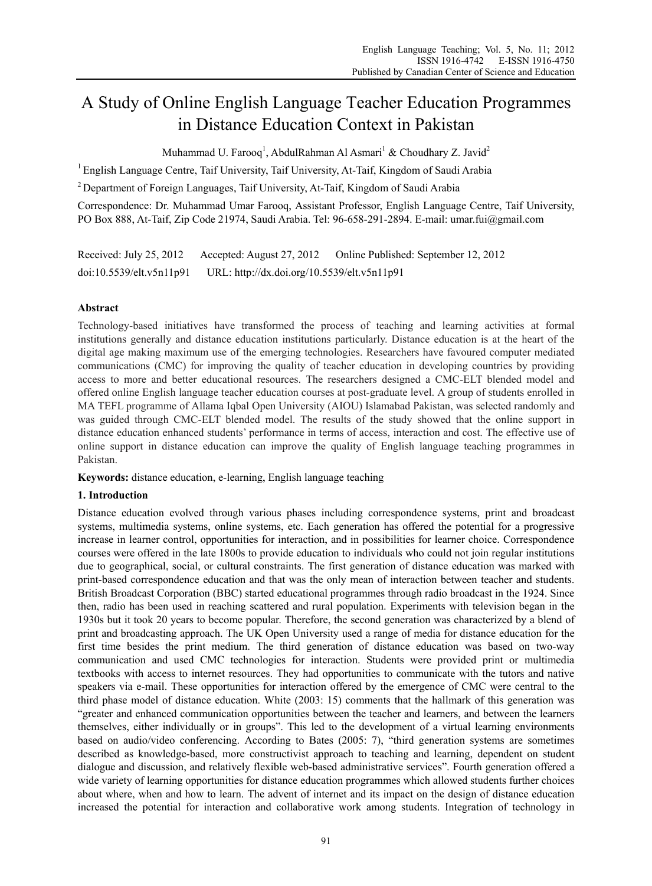# A Study of Online English Language Teacher Education Programmes in Distance Education Context in Pakistan

Muhammad U. Farooq<sup>1</sup>, AbdulRahman Al Asmari<sup>1</sup> & Choudhary Z. Javid<sup>2</sup>

 $1$  English Language Centre, Taif University, Taif University, At-Taif, Kingdom of Saudi Arabia

2 Department of Foreign Languages, Taif University, At-Taif, Kingdom of Saudi Arabia

Correspondence: Dr. Muhammad Umar Farooq, Assistant Professor, English Language Centre, Taif University, PO Box 888, At-Taif, Zip Code 21974, Saudi Arabia. Tel: 96-658-291-2894. E-mail: umar.fui@gmail.com

Received: July 25, 2012 Accepted: August 27, 2012 Online Published: September 12, 2012 doi:10.5539/elt.v5n11p91 URL: http://dx.doi.org/10.5539/elt.v5n11p91

#### **Abstract**

Technology-based initiatives have transformed the process of teaching and learning activities at formal institutions generally and distance education institutions particularly. Distance education is at the heart of the digital age making maximum use of the emerging technologies. Researchers have favoured computer mediated communications (CMC) for improving the quality of teacher education in developing countries by providing access to more and better educational resources. The researchers designed a CMC-ELT blended model and offered online English language teacher education courses at post-graduate level. A group of students enrolled in MA TEFL programme of Allama Iqbal Open University (AIOU) Islamabad Pakistan, was selected randomly and was guided through CMC-ELT blended model. The results of the study showed that the online support in distance education enhanced students' performance in terms of access, interaction and cost. The effective use of online support in distance education can improve the quality of English language teaching programmes in Pakistan.

**Keywords:** distance education, e-learning, English language teaching

#### **1. Introduction**

Distance education evolved through various phases including correspondence systems, print and broadcast systems, multimedia systems, online systems, etc. Each generation has offered the potential for a progressive increase in learner control, opportunities for interaction, and in possibilities for learner choice. Correspondence courses were offered in the late 1800s to provide education to individuals who could not join regular institutions due to geographical, social, or cultural constraints. The first generation of distance education was marked with print-based correspondence education and that was the only mean of interaction between teacher and students. British Broadcast Corporation (BBC) started educational programmes through radio broadcast in the 1924. Since then, radio has been used in reaching scattered and rural population. Experiments with television began in the 1930s but it took 20 years to become popular. Therefore, the second generation was characterized by a blend of print and broadcasting approach. The UK Open University used a range of media for distance education for the first time besides the print medium. The third generation of distance education was based on two-way communication and used CMC technologies for interaction. Students were provided print or multimedia textbooks with access to internet resources. They had opportunities to communicate with the tutors and native speakers via e-mail. These opportunities for interaction offered by the emergence of CMC were central to the third phase model of distance education. White (2003: 15) comments that the hallmark of this generation was "greater and enhanced communication opportunities between the teacher and learners, and between the learners themselves, either individually or in groups". This led to the development of a virtual learning environments based on audio/video conferencing. According to Bates (2005: 7), "third generation systems are sometimes described as knowledge-based, more constructivist approach to teaching and learning, dependent on student dialogue and discussion, and relatively flexible web-based administrative services". Fourth generation offered a wide variety of learning opportunities for distance education programmes which allowed students further choices about where, when and how to learn. The advent of internet and its impact on the design of distance education increased the potential for interaction and collaborative work among students. Integration of technology in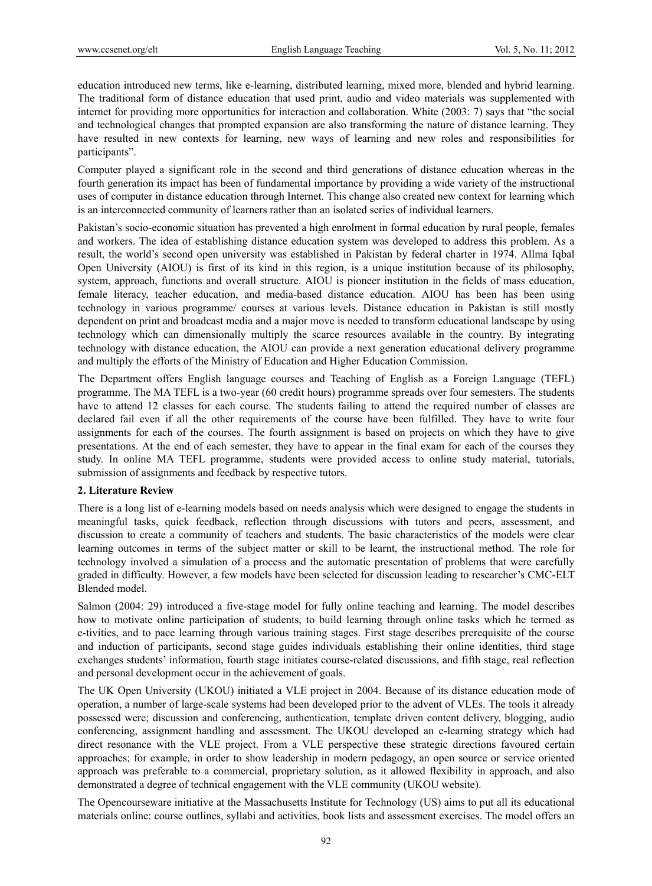education introduced new terms, like e-learning, distributed learning, mixed more, blended and hybrid learning. The traditional form of distance education that used print, audio and video materials was supplemented with internet for providing more opportunities for interaction and collaboration. White (2003: 7) says that "the social and technological changes that prompted expansion are also transforming the nature of distance learning. They have resulted in new contexts for learning, new ways of learning and new roles and responsibilities for participants".

Computer played a significant role in the second and third generations of distance education whereas in the fourth generation its impact has been of fundamental importance by providing a wide variety of the instructional uses of computer in distance education through Internet. This change also created new context for learning which is an interconnected community of learners rather than an isolated series of individual learners.

Pakistan's socio-economic situation has prevented a high enrolment in formal education by rural people, females and workers. The idea of establishing distance education system was developed to address this problem. As a result, the world's second open university was established in Pakistan by federal charter in 1974. Allma Iqbal Open University (AIOU) is first of its kind in this region, is a unique institution because of its philosophy, system, approach, functions and overall structure. AIOU is pioneer institution in the fields of mass education, female literacy, teacher education, and media-based distance education. AIOU has been has been using technology in various programme/ courses at various levels. Distance education in Pakistan is still mostly dependent on print and broadcast media and a major move is needed to transform educational landscape by using technology which can dimensionally multiply the scarce resources available in the country. By integrating technology with distance education, the AIOU can provide a next generation educational delivery programme and multiply the efforts of the Ministry of Education and Higher Education Commission.

The Department offers English language courses and Teaching of English as a Foreign Language (TEFL) programme. The MA TEFL is a two-year (60 credit hours) programme spreads over four semesters. The students have to attend 12 classes for each course. The students failing to attend the required number of classes are declared fail even if all the other requirements of the course have been fulfilled. They have to write four assignments for each of the courses. The fourth assignment is based on projects on which they have to give presentations. At the end of each semester, they have to appear in the final exam for each of the courses they study. In online MA TEFL programme, students were provided access to online study material, tutorials, submission of assignments and feedback by respective tutors.

#### **2. Literature Review**

There is a long list of e-learning models based on needs analysis which were designed to engage the students in meaningful tasks, quick feedback, reflection through discussions with tutors and peers, assessment, and discussion to create a community of teachers and students. The basic characteristics of the models were clear learning outcomes in terms of the subject matter or skill to be learnt, the instructional method. The role for technology involved a simulation of a process and the automatic presentation of problems that were carefully graded in difficulty. However, a few models have been selected for discussion leading to researcher's CMC-ELT Blended model.

Salmon (2004: 29) introduced a five-stage model for fully online teaching and learning. The model describes how to motivate online participation of students, to build learning through online tasks which he termed as e-tivities, and to pace learning through various training stages. First stage describes prerequisite of the course and induction of participants, second stage guides individuals establishing their online identities, third stage exchanges students' information, fourth stage initiates course-related discussions, and fifth stage, real reflection and personal development occur in the achievement of goals.

The UK Open University (UKOU) initiated a VLE project in 2004. Because of its distance education mode of operation, a number of large-scale systems had been developed prior to the advent of VLEs. The tools it already possessed were; discussion and conferencing, authentication, template driven content delivery, blogging, audio conferencing, assignment handling and assessment. The UKOU developed an e-learning strategy which had direct resonance with the VLE project. From a VLE perspective these strategic directions favoured certain approaches; for example, in order to show leadership in modern pedagogy, an open source or service oriented approach was preferable to a commercial, proprietary solution, as it allowed flexibility in approach, and also demonstrated a degree of technical engagement with the VLE community (UKOU website).

The Opencourseware initiative at the Massachusetts Institute for Technology (US) aims to put all its educational materials online: course outlines, syllabi and activities, book lists and assessment exercises. The model offers an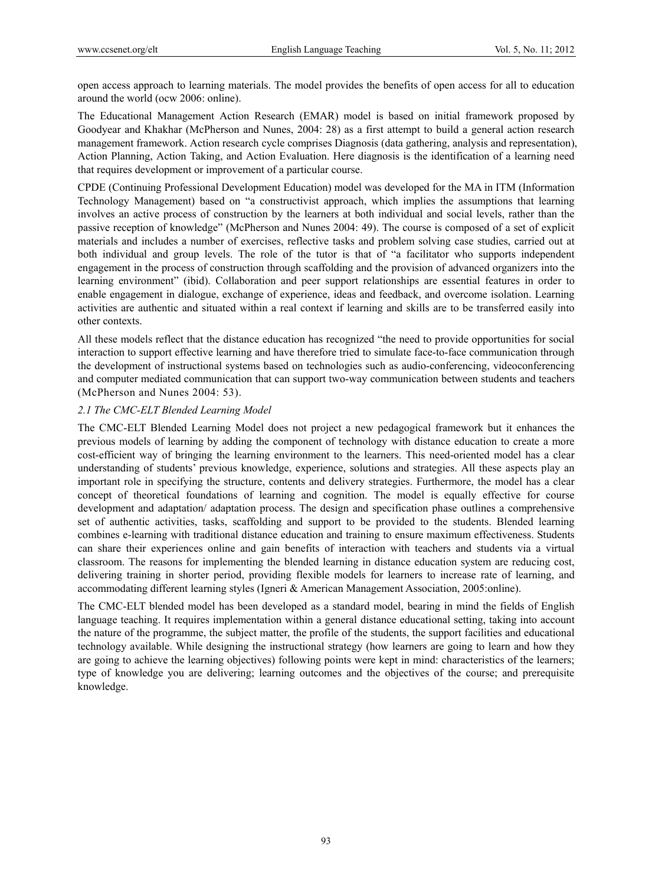open access approach to learning materials. The model provides the benefits of open access for all to education around the world (ocw 2006: online).

The Educational Management Action Research (EMAR) model is based on initial framework proposed by Goodyear and Khakhar (McPherson and Nunes, 2004: 28) as a first attempt to build a general action research management framework. Action research cycle comprises Diagnosis (data gathering, analysis and representation), Action Planning, Action Taking, and Action Evaluation. Here diagnosis is the identification of a learning need that requires development or improvement of a particular course.

CPDE (Continuing Professional Development Education) model was developed for the MA in ITM (Information Technology Management) based on "a constructivist approach, which implies the assumptions that learning involves an active process of construction by the learners at both individual and social levels, rather than the passive reception of knowledge" (McPherson and Nunes 2004: 49). The course is composed of a set of explicit materials and includes a number of exercises, reflective tasks and problem solving case studies, carried out at both individual and group levels. The role of the tutor is that of "a facilitator who supports independent engagement in the process of construction through scaffolding and the provision of advanced organizers into the learning environment" (ibid). Collaboration and peer support relationships are essential features in order to enable engagement in dialogue, exchange of experience, ideas and feedback, and overcome isolation. Learning activities are authentic and situated within a real context if learning and skills are to be transferred easily into other contexts.

All these models reflect that the distance education has recognized "the need to provide opportunities for social interaction to support effective learning and have therefore tried to simulate face-to-face communication through the development of instructional systems based on technologies such as audio-conferencing, videoconferencing and computer mediated communication that can support two-way communication between students and teachers (McPherson and Nunes 2004: 53).

## *2.1 The CMC-ELT Blended Learning Model*

The CMC-ELT Blended Learning Model does not project a new pedagogical framework but it enhances the previous models of learning by adding the component of technology with distance education to create a more cost-efficient way of bringing the learning environment to the learners. This need-oriented model has a clear understanding of students' previous knowledge, experience, solutions and strategies. All these aspects play an important role in specifying the structure, contents and delivery strategies. Furthermore, the model has a clear concept of theoretical foundations of learning and cognition. The model is equally effective for course development and adaptation/ adaptation process. The design and specification phase outlines a comprehensive set of authentic activities, tasks, scaffolding and support to be provided to the students. Blended learning combines e-learning with traditional distance education and training to ensure maximum effectiveness. Students can share their experiences online and gain benefits of interaction with teachers and students via a virtual classroom. The reasons for implementing the blended learning in distance education system are reducing cost, delivering training in shorter period, providing flexible models for learners to increase rate of learning, and accommodating different learning styles (Igneri & American Management Association, 2005:online).

The CMC-ELT blended model has been developed as a standard model, bearing in mind the fields of English language teaching. It requires implementation within a general distance educational setting, taking into account the nature of the programme, the subject matter, the profile of the students, the support facilities and educational technology available. While designing the instructional strategy (how learners are going to learn and how they are going to achieve the learning objectives) following points were kept in mind: characteristics of the learners; type of knowledge you are delivering; learning outcomes and the objectives of the course; and prerequisite knowledge.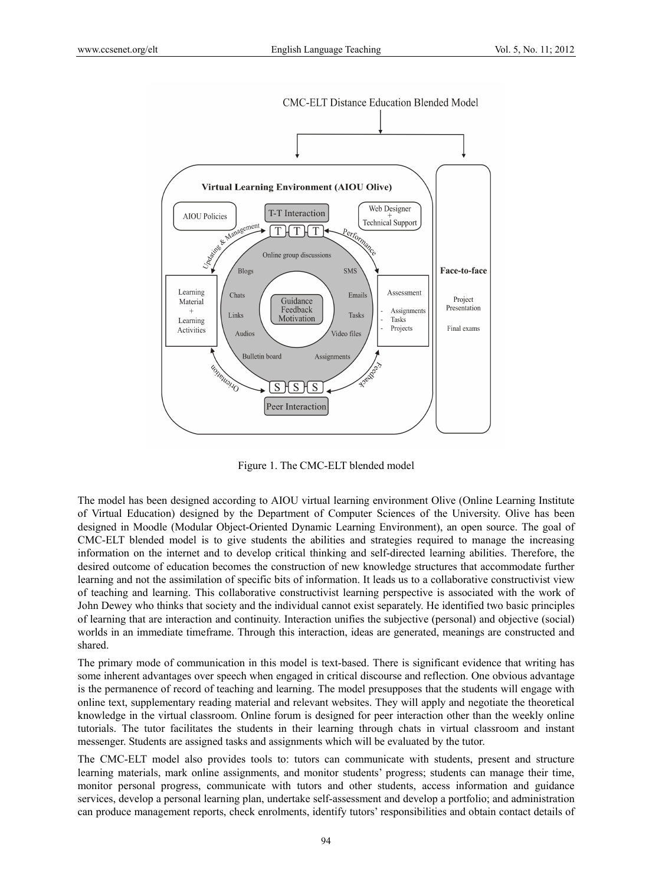

**CMC-ELT Distance Education Blended Model** 

Figure 1. The CMC-ELT blended model

The model has been designed according to AIOU virtual learning environment Olive (Online Learning Institute of Virtual Education) designed by the Department of Computer Sciences of the University. Olive has been designed in Moodle (Modular Object-Oriented Dynamic Learning Environment), an open source. The goal of CMC-ELT blended model is to give students the abilities and strategies required to manage the increasing information on the internet and to develop critical thinking and self-directed learning abilities. Therefore, the desired outcome of education becomes the construction of new knowledge structures that accommodate further learning and not the assimilation of specific bits of information. It leads us to a collaborative constructivist view of teaching and learning. This collaborative constructivist learning perspective is associated with the work of John Dewey who thinks that society and the individual cannot exist separately. He identified two basic principles of learning that are interaction and continuity. Interaction unifies the subjective (personal) and objective (social) worlds in an immediate timeframe. Through this interaction, ideas are generated, meanings are constructed and shared.

The primary mode of communication in this model is text-based. There is significant evidence that writing has some inherent advantages over speech when engaged in critical discourse and reflection. One obvious advantage is the permanence of record of teaching and learning. The model presupposes that the students will engage with online text, supplementary reading material and relevant websites. They will apply and negotiate the theoretical knowledge in the virtual classroom. Online forum is designed for peer interaction other than the weekly online tutorials. The tutor facilitates the students in their learning through chats in virtual classroom and instant messenger. Students are assigned tasks and assignments which will be evaluated by the tutor.

The CMC-ELT model also provides tools to: tutors can communicate with students, present and structure learning materials, mark online assignments, and monitor students' progress; students can manage their time, monitor personal progress, communicate with tutors and other students, access information and guidance services, develop a personal learning plan, undertake self-assessment and develop a portfolio; and administration can produce management reports, check enrolments, identify tutors' responsibilities and obtain contact details of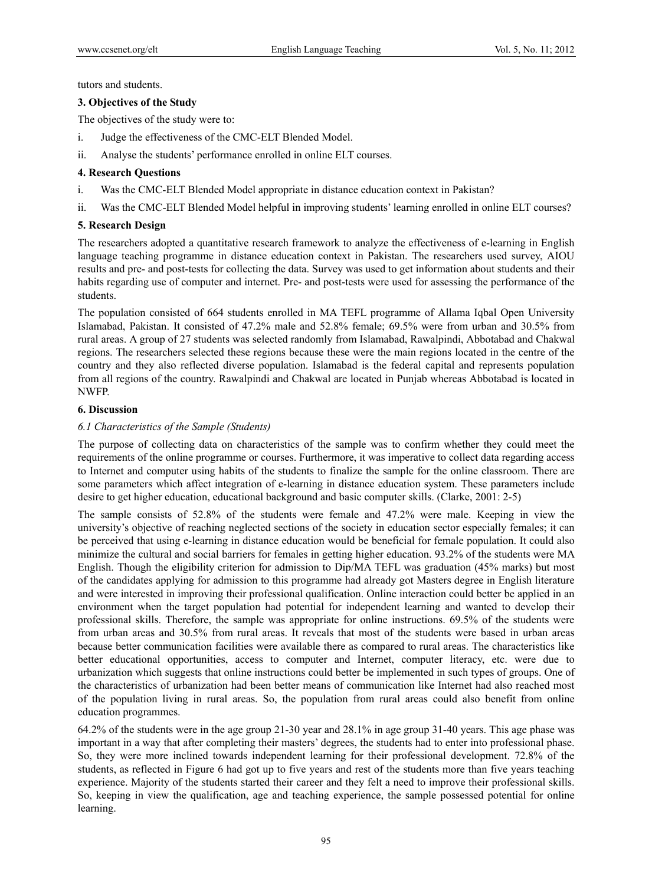tutors and students.

## **3. Objectives of the Study**

The objectives of the study were to:

- i. Judge the effectiveness of the CMC-ELT Blended Model.
- ii. Analyse the students' performance enrolled in online ELT courses.

# **4. Research Questions**

- i. Was the CMC-ELT Blended Model appropriate in distance education context in Pakistan?
- ii. Was the CMC-ELT Blended Model helpful in improving students' learning enrolled in online ELT courses?

# **5. Research Design**

The researchers adopted a quantitative research framework to analyze the effectiveness of e-learning in English language teaching programme in distance education context in Pakistan. The researchers used survey, AIOU results and pre- and post-tests for collecting the data. Survey was used to get information about students and their habits regarding use of computer and internet. Pre- and post-tests were used for assessing the performance of the students.

The population consisted of 664 students enrolled in MA TEFL programme of Allama Iqbal Open University Islamabad, Pakistan. It consisted of 47.2% male and 52.8% female; 69.5% were from urban and 30.5% from rural areas. A group of 27 students was selected randomly from Islamabad, Rawalpindi, Abbotabad and Chakwal regions. The researchers selected these regions because these were the main regions located in the centre of the country and they also reflected diverse population. Islamabad is the federal capital and represents population from all regions of the country. Rawalpindi and Chakwal are located in Punjab whereas Abbotabad is located in NWFP.

# **6. Discussion**

# *6.1 Characteristics of the Sample (Students)*

The purpose of collecting data on characteristics of the sample was to confirm whether they could meet the requirements of the online programme or courses. Furthermore, it was imperative to collect data regarding access to Internet and computer using habits of the students to finalize the sample for the online classroom. There are some parameters which affect integration of e-learning in distance education system. These parameters include desire to get higher education, educational background and basic computer skills. (Clarke, 2001: 2-5)

The sample consists of 52.8% of the students were female and 47.2% were male. Keeping in view the university's objective of reaching neglected sections of the society in education sector especially females; it can be perceived that using e-learning in distance education would be beneficial for female population. It could also minimize the cultural and social barriers for females in getting higher education. 93.2% of the students were MA English. Though the eligibility criterion for admission to Dip/MA TEFL was graduation (45% marks) but most of the candidates applying for admission to this programme had already got Masters degree in English literature and were interested in improving their professional qualification. Online interaction could better be applied in an environment when the target population had potential for independent learning and wanted to develop their professional skills. Therefore, the sample was appropriate for online instructions. 69.5% of the students were from urban areas and 30.5% from rural areas. It reveals that most of the students were based in urban areas because better communication facilities were available there as compared to rural areas. The characteristics like better educational opportunities, access to computer and Internet, computer literacy, etc. were due to urbanization which suggests that online instructions could better be implemented in such types of groups. One of the characteristics of urbanization had been better means of communication like Internet had also reached most of the population living in rural areas. So, the population from rural areas could also benefit from online education programmes.

64.2% of the students were in the age group 21-30 year and 28.1% in age group 31-40 years. This age phase was important in a way that after completing their masters' degrees, the students had to enter into professional phase. So, they were more inclined towards independent learning for their professional development. 72.8% of the students, as reflected in Figure 6 had got up to five years and rest of the students more than five years teaching experience. Majority of the students started their career and they felt a need to improve their professional skills. So, keeping in view the qualification, age and teaching experience, the sample possessed potential for online learning.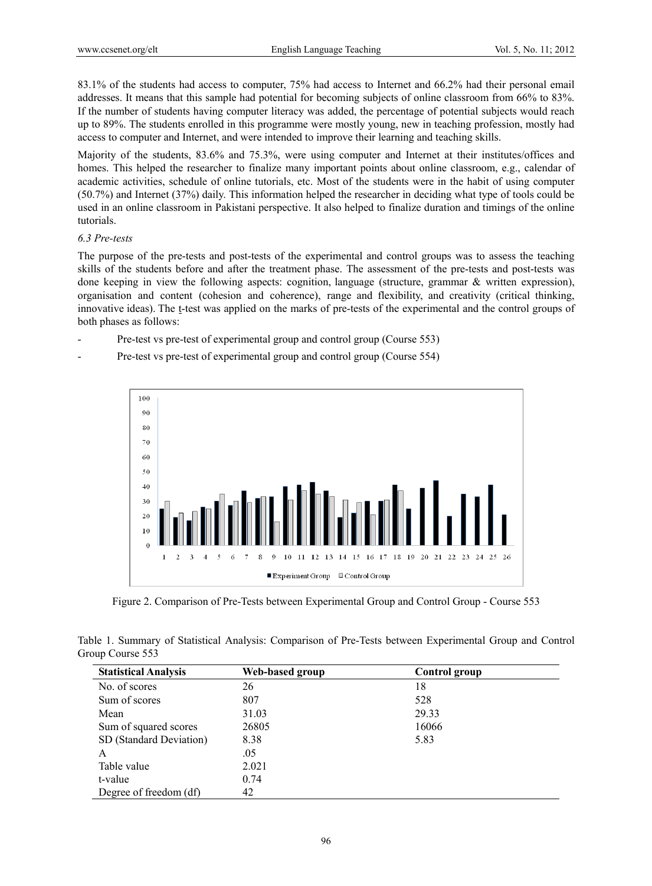83.1% of the students had access to computer, 75% had access to Internet and 66.2% had their personal email addresses. It means that this sample had potential for becoming subjects of online classroom from 66% to 83%. If the number of students having computer literacy was added, the percentage of potential subjects would reach up to 89%. The students enrolled in this programme were mostly young, new in teaching profession, mostly had access to computer and Internet, and were intended to improve their learning and teaching skills.

Majority of the students, 83.6% and 75.3%, were using computer and Internet at their institutes/offices and homes. This helped the researcher to finalize many important points about online classroom, e.g., calendar of academic activities, schedule of online tutorials, etc. Most of the students were in the habit of using computer (50.7%) and Internet (37%) daily. This information helped the researcher in deciding what type of tools could be used in an online classroom in Pakistani perspective. It also helped to finalize duration and timings of the online tutorials.

## *6.3 Pre-tests*

The purpose of the pre-tests and post-tests of the experimental and control groups was to assess the teaching skills of the students before and after the treatment phase. The assessment of the pre-tests and post-tests was done keeping in view the following aspects: cognition, language (structure, grammar & written expression), organisation and content (cohesion and coherence), range and flexibility, and creativity (critical thinking, innovative ideas). The t-test was applied on the marks of pre-tests of the experimental and the control groups of both phases as follows:

- Pre-test vs pre-test of experimental group and control group (Course 553)
- Pre-test vs pre-test of experimental group and control group (Course 554)



Figure 2. Comparison of Pre-Tests between Experimental Group and Control Group - Course 553

|                  |  |  |  | Table 1. Summary of Statistical Analysis: Comparison of Pre-Tests between Experimental Group and Control |  |  |
|------------------|--|--|--|----------------------------------------------------------------------------------------------------------|--|--|
| Group Course 553 |  |  |  |                                                                                                          |  |  |

| <b>Statistical Analysis</b> | Web-based group | Control group |
|-----------------------------|-----------------|---------------|
| No. of scores               | 26              | 18            |
| Sum of scores               | 807             | 528           |
| Mean                        | 31.03           | 29.33         |
| Sum of squared scores       | 26805           | 16066         |
| SD (Standard Deviation)     | 8.38            | 5.83          |
| A                           | .05             |               |
| Table value                 | 2.021           |               |
| t-value                     | 0.74            |               |
| Degree of freedom (df)      | 42              |               |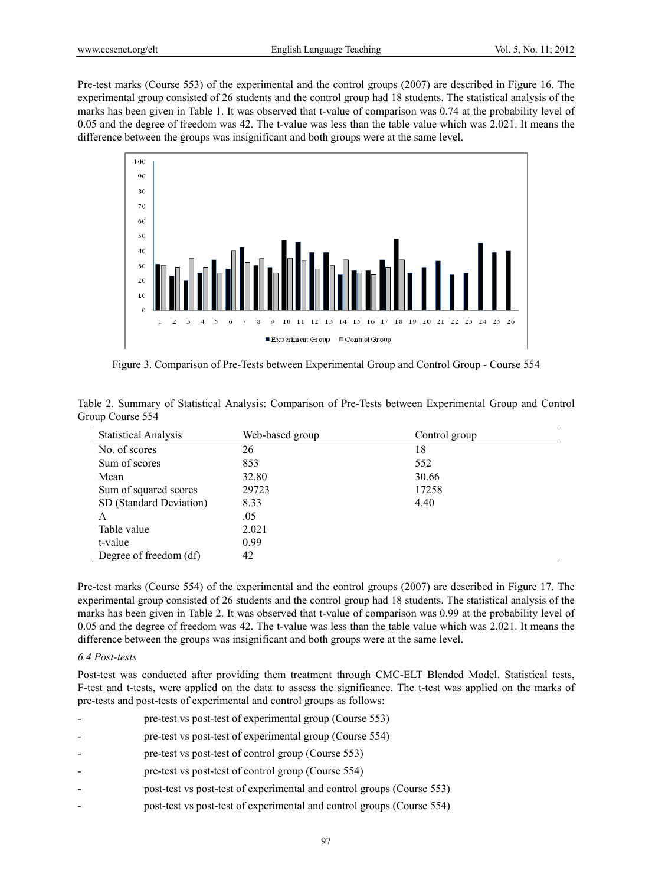Pre-test marks (Course 553) of the experimental and the control groups (2007) are described in Figure 16. The experimental group consisted of 26 students and the control group had 18 students. The statistical analysis of the marks has been given in Table 1. It was observed that t-value of comparison was 0.74 at the probability level of 0.05 and the degree of freedom was 42. The t-value was less than the table value which was 2.021. It means the difference between the groups was insignificant and both groups were at the same level.



Figure 3. Comparison of Pre-Tests between Experimental Group and Control Group - Course 554

| <b>Statistical Analysis</b> | Web-based group | Control group |  |
|-----------------------------|-----------------|---------------|--|
| No. of scores               | 26              | 18            |  |
| Sum of scores               | 853             | 552           |  |
| Mean                        | 32.80           | 30.66         |  |
| Sum of squared scores       | 29723           | 17258         |  |
| SD (Standard Deviation)     | 8.33            | 4.40          |  |
| A                           | .05             |               |  |
| Table value                 | 2.021           |               |  |
| t-value                     | 0.99            |               |  |
| Degree of freedom (df)      | 42              |               |  |

Table 2. Summary of Statistical Analysis: Comparison of Pre-Tests between Experimental Group and Control Group Course 554

Pre-test marks (Course 554) of the experimental and the control groups (2007) are described in Figure 17. The experimental group consisted of 26 students and the control group had 18 students. The statistical analysis of the marks has been given in Table 2. It was observed that t-value of comparison was 0.99 at the probability level of 0.05 and the degree of freedom was 42. The t-value was less than the table value which was 2.021. It means the difference between the groups was insignificant and both groups were at the same level.

#### *6.4 Post-tests*

Post-test was conducted after providing them treatment through CMC-ELT Blended Model. Statistical tests, F-test and t-tests, were applied on the data to assess the significance. The t-test was applied on the marks of pre-tests and post-tests of experimental and control groups as follows:

- pre-test vs post-test of experimental group (Course 553)
- pre-test vs post-test of experimental group (Course 554)
- pre-test vs post-test of control group (Course 553)
- pre-test vs post-test of control group (Course 554)
- post-test vs post-test of experimental and control groups (Course 553)
- post-test vs post-test of experimental and control groups (Course 554)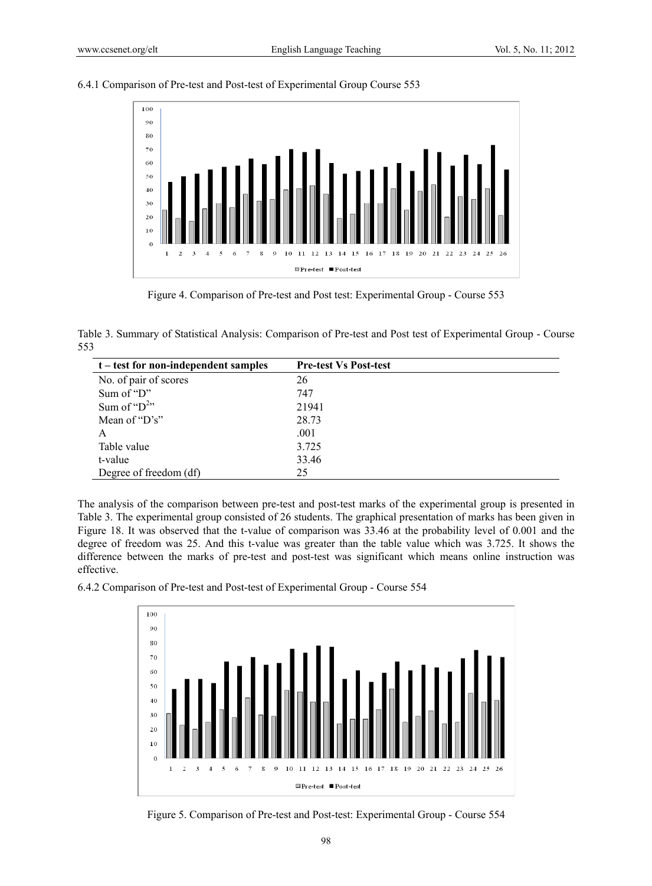### 6.4.1 Comparison of Pre-test and Post-test of Experimental Group Course 553



Figure 4. Comparison of Pre-test and Post test: Experimental Group - Course 553

Table 3. Summary of Statistical Analysis: Comparison of Pre-test and Post test of Experimental Group - Course 553

| $t$ – test for non-independent samples | <b>Pre-test Vs Post-test</b> |
|----------------------------------------|------------------------------|
| No. of pair of scores                  | 26                           |
| Sum of "D"                             | 747                          |
| Sum of " $D^{2}$ "                     | 21941                        |
| Mean of "D's"                          | 28.73                        |
| A                                      | .001                         |
| Table value                            | 3.725                        |
| t-value                                | 33.46                        |
| Degree of freedom (df)                 | 25                           |

The analysis of the comparison between pre-test and post-test marks of the experimental group is presented in Table 3. The experimental group consisted of 26 students. The graphical presentation of marks has been given in Figure 18. It was observed that the t-value of comparison was 33.46 at the probability level of 0.001 and the degree of freedom was 25. And this t-value was greater than the table value which was 3.725. It shows the difference between the marks of pre-test and post-test was significant which means online instruction was effective.





Figure 5. Comparison of Pre-test and Post-test: Experimental Group - Course 554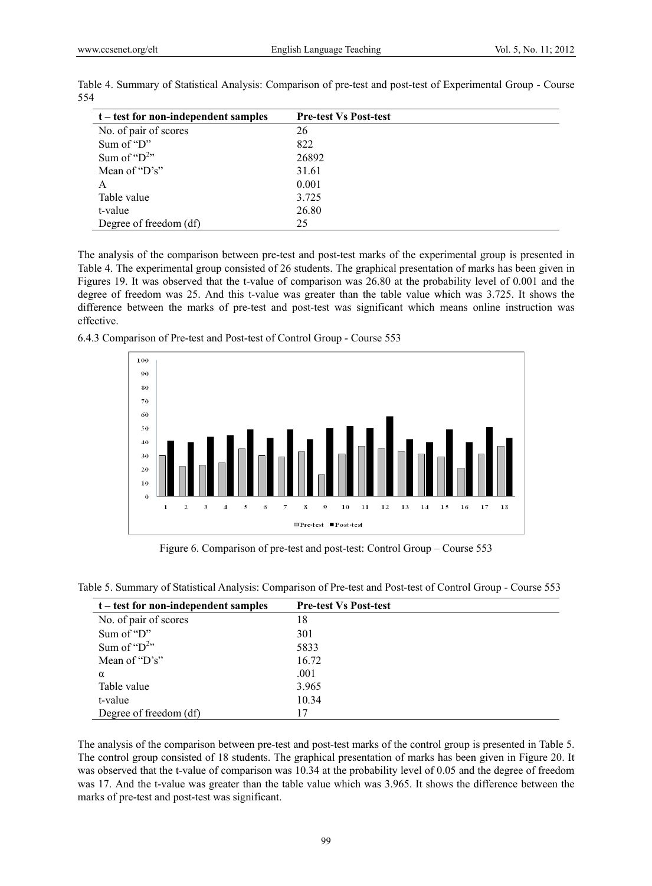| t – test for non-independent samples | <b>Pre-test Vs Post-test</b> |
|--------------------------------------|------------------------------|
| No. of pair of scores                | 26                           |
| Sum of "D"                           | 822                          |
| Sum of " $D^{2}$ "                   | 26892                        |
| Mean of " $D's$ "                    | 31.61                        |
| $\mathsf{A}$                         | 0.001                        |
| Table value                          | 3.725                        |
| t-value                              | 26.80                        |
| Degree of freedom (df)               | 25                           |

Table 4. Summary of Statistical Analysis: Comparison of pre-test and post-test of Experimental Group - Course 554

The analysis of the comparison between pre-test and post-test marks of the experimental group is presented in Table 4. The experimental group consisted of 26 students. The graphical presentation of marks has been given in Figures 19. It was observed that the t-value of comparison was 26.80 at the probability level of 0.001 and the degree of freedom was 25. And this t-value was greater than the table value which was 3.725. It shows the difference between the marks of pre-test and post-test was significant which means online instruction was effective.



6.4.3 Comparison of Pre-test and Post-test of Control Group - Course 553

Figure 6. Comparison of pre-test and post-test: Control Group – Course 553

|  |  |  |  |  | Table 5. Summary of Statistical Analysis: Comparison of Pre-test and Post-test of Control Group - Course 553 |
|--|--|--|--|--|--------------------------------------------------------------------------------------------------------------|
|--|--|--|--|--|--------------------------------------------------------------------------------------------------------------|

| $t$ – test for non-independent samples | <b>Pre-test Vs Post-test</b> |
|----------------------------------------|------------------------------|
| No. of pair of scores                  | 18                           |
| Sum of "D"                             | 301                          |
| Sum of " $D^{2}$ "                     | 5833                         |
| Mean of "D's"                          | 16.72                        |
| $\alpha$                               | .001                         |
| Table value                            | 3.965                        |
| t-value                                | 10.34                        |
| Degree of freedom (df)                 | 17                           |

The analysis of the comparison between pre-test and post-test marks of the control group is presented in Table 5. The control group consisted of 18 students. The graphical presentation of marks has been given in Figure 20. It was observed that the t-value of comparison was 10.34 at the probability level of 0.05 and the degree of freedom was 17. And the t-value was greater than the table value which was 3.965. It shows the difference between the marks of pre-test and post-test was significant.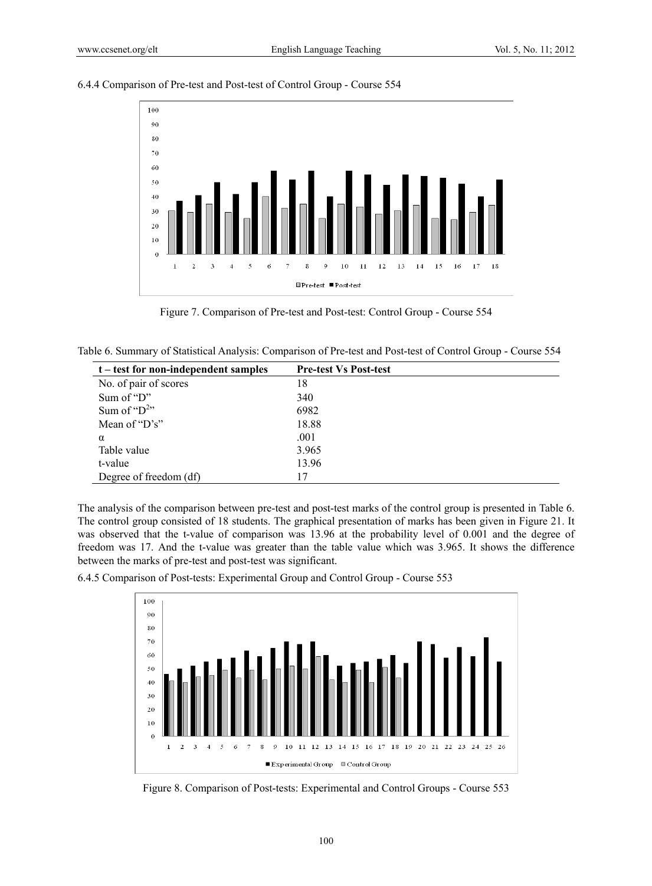



Figure 7. Comparison of Pre-test and Post-test: Control Group - Course 554

Table 6. Summary of Statistical Analysis: Comparison of Pre-test and Post-test of Control Group - Course 554

| $t$ – test for non-independent samples | <b>Pre-test Vs Post-test</b> |
|----------------------------------------|------------------------------|
| No. of pair of scores                  | 18                           |
| Sum of "D"                             | 340                          |
| Sum of " $D^{2n}$ "                    | 6982                         |
| Mean of "D's"                          | 18.88                        |
| $\alpha$                               | .001                         |
| Table value                            | 3.965                        |
| t-value                                | 13.96                        |
| Degree of freedom (df)                 | 17                           |

The analysis of the comparison between pre-test and post-test marks of the control group is presented in Table 6. The control group consisted of 18 students. The graphical presentation of marks has been given in Figure 21. It was observed that the t-value of comparison was 13.96 at the probability level of 0.001 and the degree of freedom was 17. And the t-value was greater than the table value which was 3.965. It shows the difference between the marks of pre-test and post-test was significant.

6.4.5 Comparison of Post-tests: Experimental Group and Control Group - Course 553



Figure 8. Comparison of Post-tests: Experimental and Control Groups - Course 553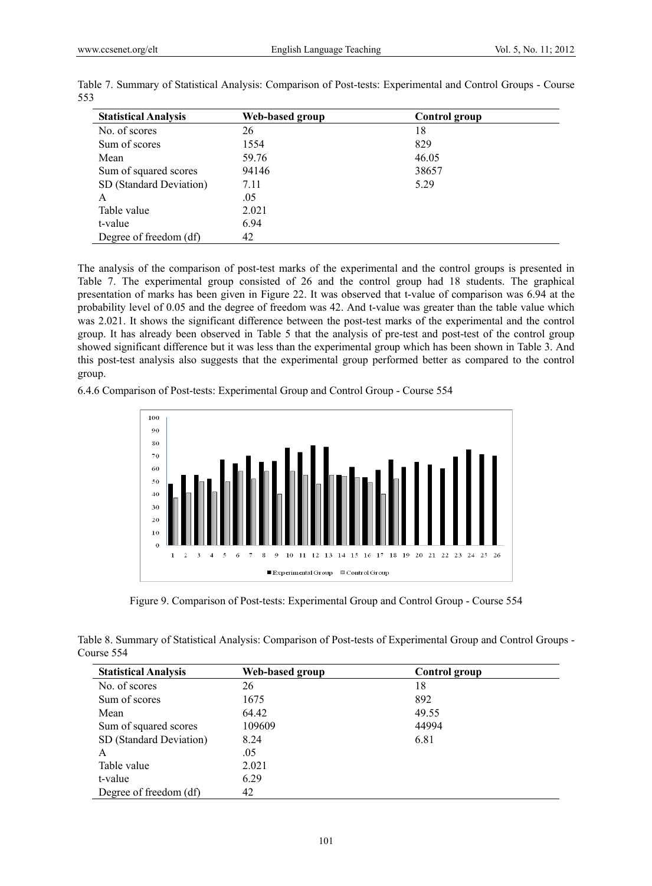| <b>Statistical Analysis</b> | Web-based group | Control group |
|-----------------------------|-----------------|---------------|
| No. of scores               | 26              | 18            |
| Sum of scores               | 1554            | 829           |
| Mean                        | 59.76           | 46.05         |
| Sum of squared scores       | 94146           | 38657         |
| SD (Standard Deviation)     | 7.11            | 5.29          |
| A                           | .05             |               |
| Table value                 | 2.021           |               |
| t-value                     | 6.94            |               |
| Degree of freedom (df)      | 42              |               |

Table 7. Summary of Statistical Analysis: Comparison of Post-tests: Experimental and Control Groups - Course 553

The analysis of the comparison of post-test marks of the experimental and the control groups is presented in Table 7. The experimental group consisted of 26 and the control group had 18 students. The graphical presentation of marks has been given in Figure 22. It was observed that t-value of comparison was 6.94 at the probability level of 0.05 and the degree of freedom was 42. And t-value was greater than the table value which was 2.021. It shows the significant difference between the post-test marks of the experimental and the control group. It has already been observed in Table 5 that the analysis of pre-test and post-test of the control group showed significant difference but it was less than the experimental group which has been shown in Table 3. And this post-test analysis also suggests that the experimental group performed better as compared to the control group.

6.4.6 Comparison of Post-tests: Experimental Group and Control Group - Course 554



Figure 9. Comparison of Post-tests: Experimental Group and Control Group - Course 554

| Table 8. Summary of Statistical Analysis: Comparison of Post-tests of Experimental Group and Control Groups - |  |  |
|---------------------------------------------------------------------------------------------------------------|--|--|
| Course 554                                                                                                    |  |  |

| <b>Statistical Analysis</b> | Web-based group | Control group |
|-----------------------------|-----------------|---------------|
| No. of scores               | 26              | 18            |
| Sum of scores               | 1675            | 892           |
| Mean                        | 64.42           | 49.55         |
| Sum of squared scores       | 109609          | 44994         |
| SD (Standard Deviation)     | 8.24            | 6.81          |
| A                           | .05             |               |
| Table value                 | 2.021           |               |
| t-value                     | 6.29            |               |
| Degree of freedom (df)      | 42              |               |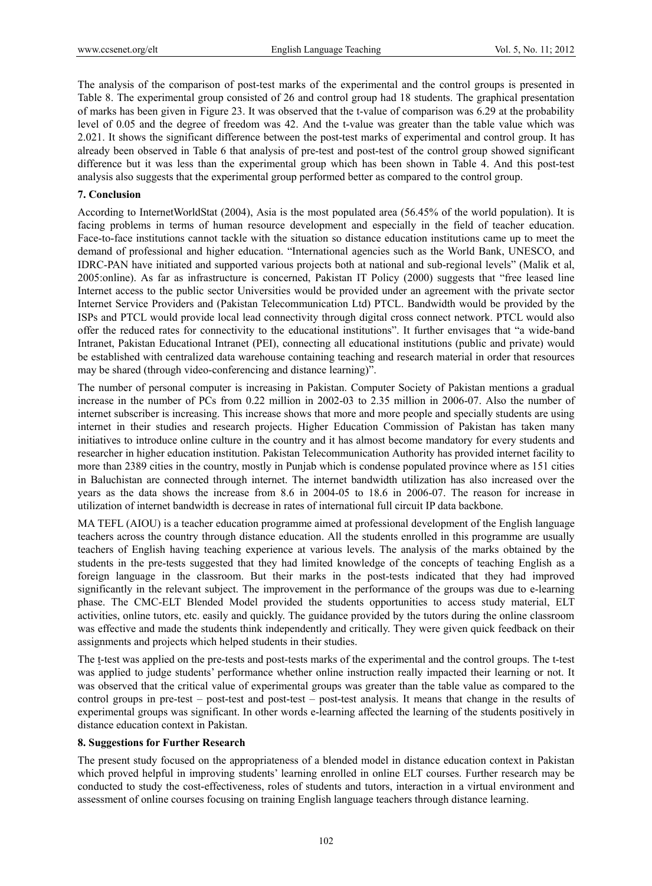The analysis of the comparison of post-test marks of the experimental and the control groups is presented in Table 8. The experimental group consisted of 26 and control group had 18 students. The graphical presentation of marks has been given in Figure 23. It was observed that the t-value of comparison was 6.29 at the probability level of 0.05 and the degree of freedom was 42. And the t-value was greater than the table value which was 2.021. It shows the significant difference between the post-test marks of experimental and control group. It has already been observed in Table 6 that analysis of pre-test and post-test of the control group showed significant difference but it was less than the experimental group which has been shown in Table 4. And this post-test analysis also suggests that the experimental group performed better as compared to the control group.

#### **7. Conclusion**

According to InternetWorldStat (2004), Asia is the most populated area (56.45% of the world population). It is facing problems in terms of human resource development and especially in the field of teacher education. Face-to-face institutions cannot tackle with the situation so distance education institutions came up to meet the demand of professional and higher education. "International agencies such as the World Bank, UNESCO, and IDRC-PAN have initiated and supported various projects both at national and sub-regional levels" (Malik et al, 2005:online). As far as infrastructure is concerned, Pakistan IT Policy (2000) suggests that "free leased line Internet access to the public sector Universities would be provided under an agreement with the private sector Internet Service Providers and (Pakistan Telecommunication Ltd) PTCL. Bandwidth would be provided by the ISPs and PTCL would provide local lead connectivity through digital cross connect network. PTCL would also offer the reduced rates for connectivity to the educational institutions". It further envisages that "a wide-band Intranet, Pakistan Educational Intranet (PEI), connecting all educational institutions (public and private) would be established with centralized data warehouse containing teaching and research material in order that resources may be shared (through video-conferencing and distance learning)".

The number of personal computer is increasing in Pakistan. Computer Society of Pakistan mentions a gradual increase in the number of PCs from 0.22 million in 2002-03 to 2.35 million in 2006-07. Also the number of internet subscriber is increasing. This increase shows that more and more people and specially students are using internet in their studies and research projects. Higher Education Commission of Pakistan has taken many initiatives to introduce online culture in the country and it has almost become mandatory for every students and researcher in higher education institution. Pakistan Telecommunication Authority has provided internet facility to more than 2389 cities in the country, mostly in Punjab which is condense populated province where as 151 cities in Baluchistan are connected through internet. The internet bandwidth utilization has also increased over the years as the data shows the increase from 8.6 in 2004-05 to 18.6 in 2006-07. The reason for increase in utilization of internet bandwidth is decrease in rates of international full circuit IP data backbone.

MA TEFL (AIOU) is a teacher education programme aimed at professional development of the English language teachers across the country through distance education. All the students enrolled in this programme are usually teachers of English having teaching experience at various levels. The analysis of the marks obtained by the students in the pre-tests suggested that they had limited knowledge of the concepts of teaching English as a foreign language in the classroom. But their marks in the post-tests indicated that they had improved significantly in the relevant subject. The improvement in the performance of the groups was due to e-learning phase. The CMC-ELT Blended Model provided the students opportunities to access study material, ELT activities, online tutors, etc. easily and quickly. The guidance provided by the tutors during the online classroom was effective and made the students think independently and critically. They were given quick feedback on their assignments and projects which helped students in their studies.

The t-test was applied on the pre-tests and post-tests marks of the experimental and the control groups. The t-test was applied to judge students' performance whether online instruction really impacted their learning or not. It was observed that the critical value of experimental groups was greater than the table value as compared to the control groups in pre-test – post-test and post-test – post-test analysis. It means that change in the results of experimental groups was significant. In other words e-learning affected the learning of the students positively in distance education context in Pakistan.

#### **8. Suggestions for Further Research**

The present study focused on the appropriateness of a blended model in distance education context in Pakistan which proved helpful in improving students' learning enrolled in online ELT courses. Further research may be conducted to study the cost-effectiveness, roles of students and tutors, interaction in a virtual environment and assessment of online courses focusing on training English language teachers through distance learning.